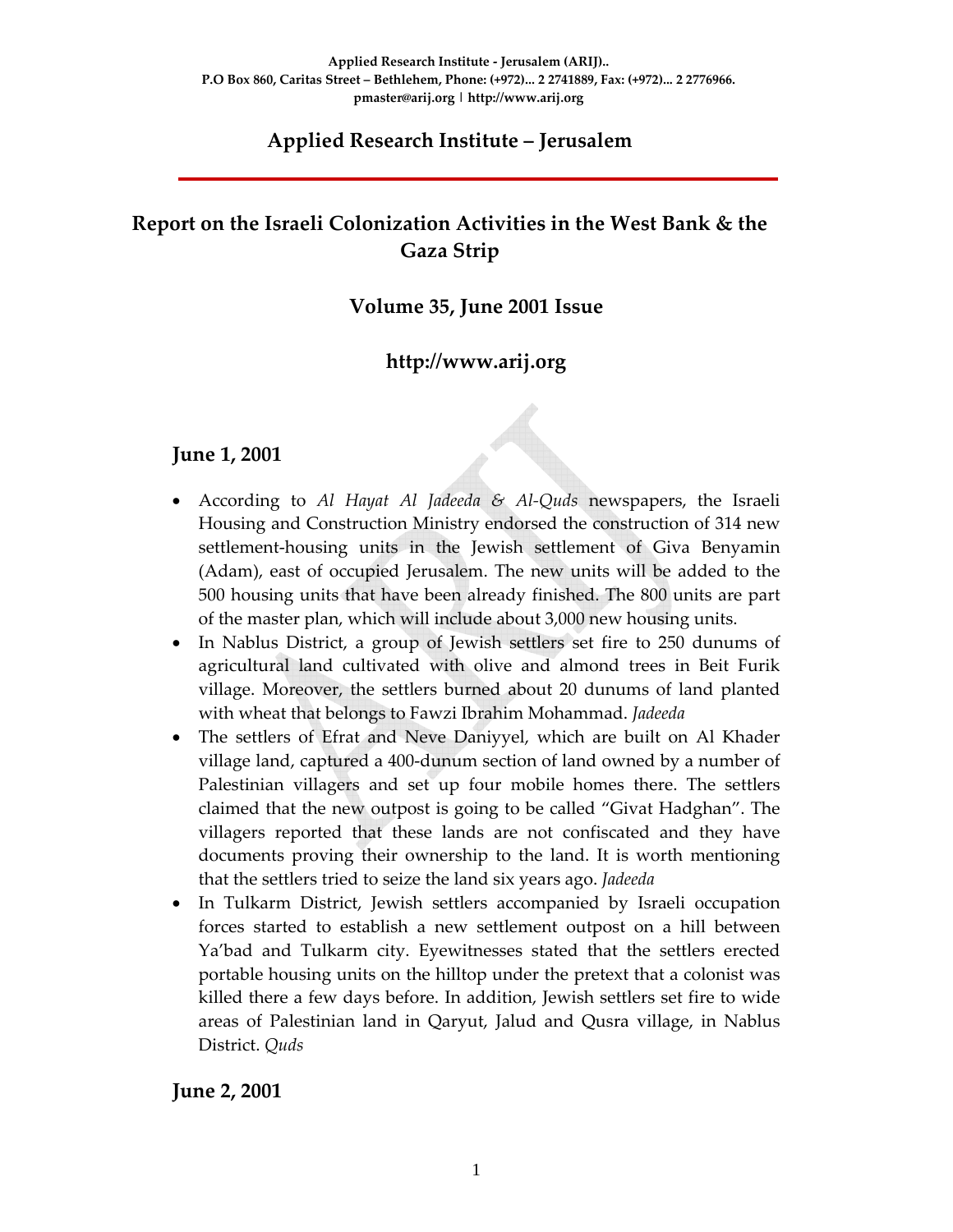# **Applied Research Institute – Jerusalem**

# **Report on the Israeli Colonization Activities in the West Bank & the Gaza Strip**

### **Volume 35, June 2001 Issue**

### **http://www.arij.org**

#### **June 1, 2001**

- According to *Al Hayat Al Jadeeda & Al‐Quds* newspapers, the Israeli Housing and Construction Ministry endorsed the construction of 314 new settlement-housing units in the Jewish settlement of Giva Benyamin (Adam), east of occupied Jerusalem. The new units will be added to the 500 housing units that have been already finished. The 800 units are part of the master plan, which will include about 3,000 new housing units.
- In Nablus District, a group of Jewish settlers set fire to 250 dunums of agricultural land cultivated with olive and almond trees in Beit Furik village. Moreover, the settlers burned about 20 dunums of land planted with wheat that belongs to Fawzi Ibrahim Mohammad. *Jadeeda*
- The settlers of Efrat and Neve Daniyyel, which are built on Al Khader village land, captured a 400‐dunum section of land owned by a number of Palestinian villagers and set up four mobile homes there. The settlers claimed that the new outpost is going to be called "Givat Hadghan". The villagers reported that these lands are not confiscated and they have documents proving their ownership to the land. It is worth mentioning that the settlers tried to seize the land six years ago. *Jadeeda*
- In Tulkarm District, Jewish settlers accompanied by Israeli occupation forces started to establish a new settlement outpost on a hill between Ya'bad and Tulkarm city. Eyewitnesses stated that the settlers erected portable housing units on the hilltop under the pretext that a colonist was killed there a few days before. In addition, Jewish settlers set fire to wide areas of Palestinian land in Qaryut, Jalud and Qusra village, in Nablus District. *Quds*

#### **June 2, 2001**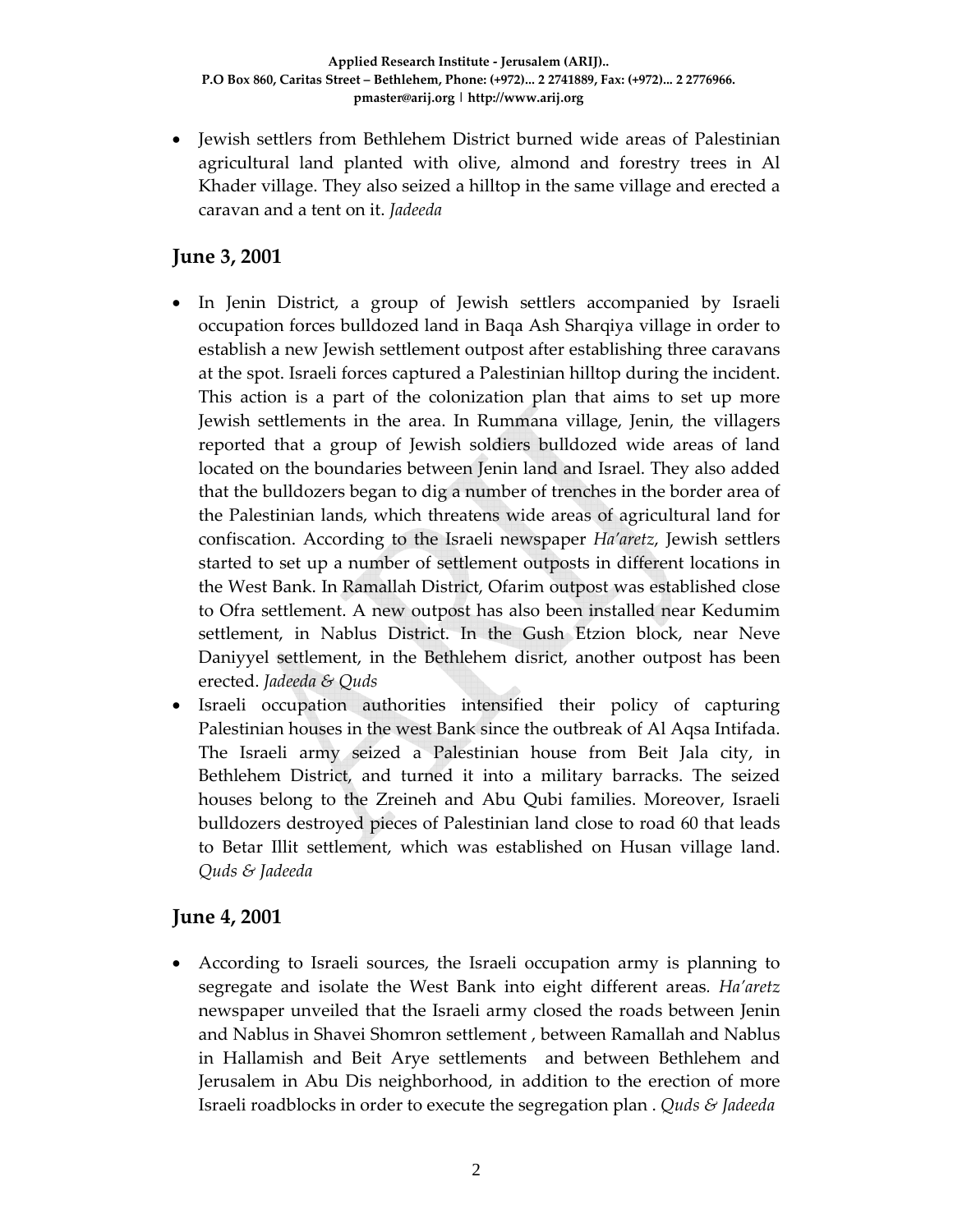• Jewish settlers from Bethlehem District burned wide areas of Palestinian agricultural land planted with olive, almond and forestry trees in Al Khader village. They also seized a hilltop in the same village and erected a caravan and a tent on it. *Jadeeda*

### **June 3, 2001**

- In Jenin District, a group of Jewish settlers accompanied by Israeli occupation forces bulldozed land in Baqa Ash Sharqiya village in order to establish a new Jewish settlement outpost after establishing three caravans at the spot. Israeli forces captured a Palestinian hilltop during the incident. This action is a part of the colonization plan that aims to set up more Jewish settlements in the area. In Rummana village, Jenin, the villagers reported that a group of Jewish soldiers bulldozed wide areas of land located on the boundaries between Jenin land and Israel. They also added that the bulldozers began to dig a number of trenches in the border area of the Palestinian lands, which threatens wide areas of agricultural land for confiscation. According to the Israeli newspaper *Ha'aretz*, Jewish settlers started to set up a number of settlement outposts in different locations in the West Bank. In Ramallah District, Ofarim outpost was established close to Ofra settlement. A new outpost has also been installed near Kedumim settlement, in Nablus District. In the Gush Etzion block, near Neve Daniyyel settlement, in the Bethlehem disrict, another outpost has been erected. *Jadeeda & Quds*
- Israeli occupation authorities intensified their policy of capturing Palestinian houses in the west Bank since the outbreak of Al Aqsa Intifada. The Israeli army seized a Palestinian house from Beit Jala city, in Bethlehem District, and turned it into a military barracks. The seized houses belong to the Zreineh and Abu Qubi families. Moreover, Israeli bulldozers destroyed pieces of Palestinian land close to road 60 that leads to Betar Illit settlement, which was established on Husan village land. *Quds & Jadeeda*

#### **June 4, 2001**

• According to Israeli sources, the Israeli occupation army is planning to segregate and isolate the West Bank into eight different areas*. Ha'aretz* newspaper unveiled that the Israeli army closed the roads between Jenin and Nablus in Shavei Shomron settlement , between Ramallah and Nablus in Hallamish and Beit Arye settlements and between Bethlehem and Jerusalem in Abu Dis neighborhood, in addition to the erection of more Israeli roadblocks in order to execute the segregation plan . *Quds & Jadeeda*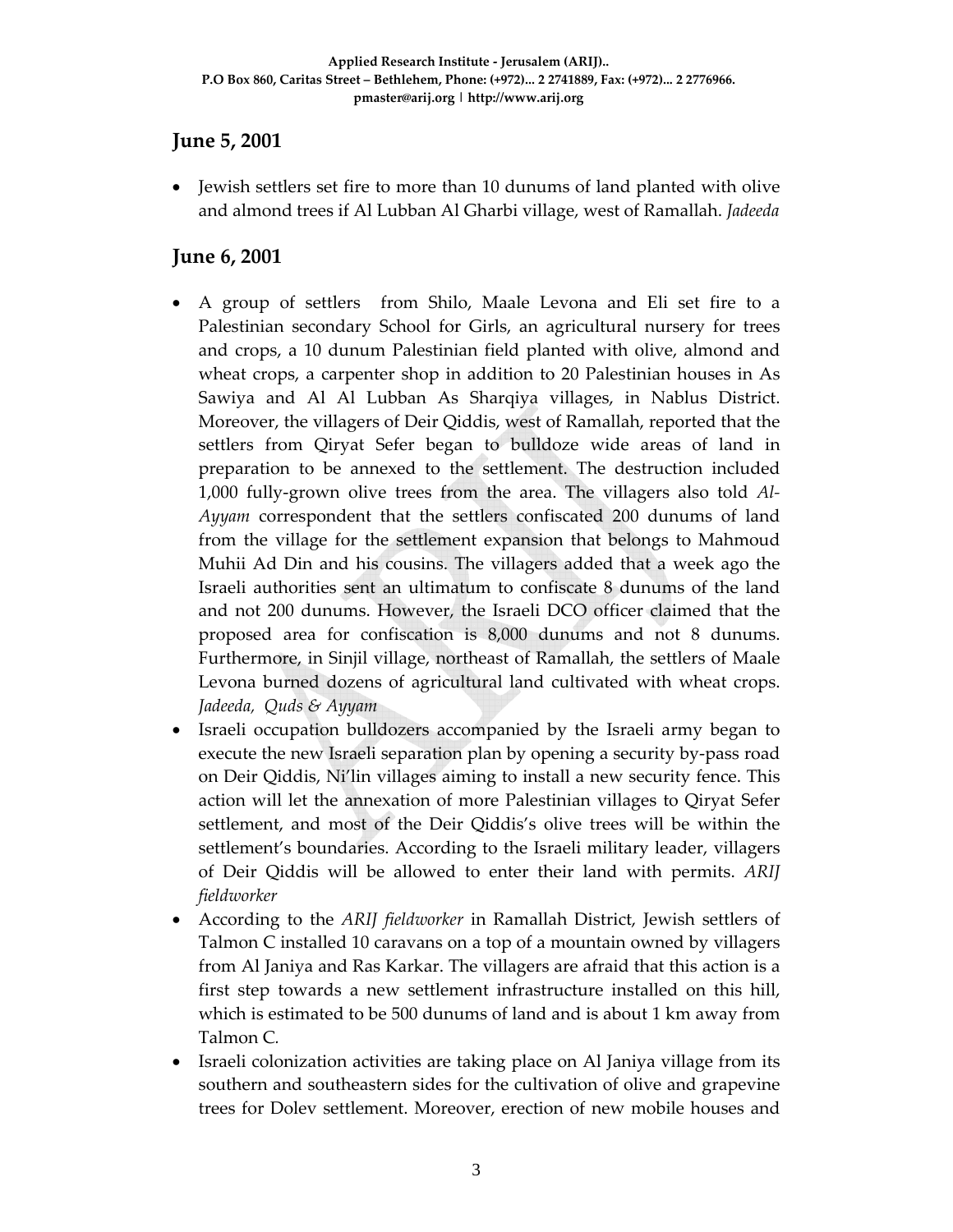### **June 5, 2001**

• Jewish settlers set fire to more than 10 dunums of land planted with olive and almond trees if Al Lubban Al Gharbi village, west of Ramallah. *Jadeeda*

### **June 6, 2001**

- A group of settlers from Shilo, Maale Levona and Eli set fire to a Palestinian secondary School for Girls, an agricultural nursery for trees and crops, a 10 dunum Palestinian field planted with olive, almond and wheat crops, a carpenter shop in addition to 20 Palestinian houses in As Sawiya and Al Al Lubban As Sharqiya villages, in Nablus District. Moreover, the villagers of Deir Qiddis, west of Ramallah, reported that the settlers from Qiryat Sefer began to bulldoze wide areas of land in preparation to be annexed to the settlement. The destruction included 1,000 fully‐grown olive trees from the area. The villagers also told *Al‐ Ayyam* correspondent that the settlers confiscated 200 dunums of land from the village for the settlement expansion that belongs to Mahmoud Muhii Ad Din and his cousins. The villagers added that a week ago the Israeli authorities sent an ultimatum to confiscate 8 dunums of the land and not 200 dunums. However, the Israeli DCO officer claimed that the proposed area for confiscation is 8,000 dunums and not 8 dunums. Furthermore, in Sinjil village, northeast of Ramallah, the settlers of Maale Levona burned dozens of agricultural land cultivated with wheat crops. *Jadeeda, Quds & Ayyam*
- Israeli occupation bulldozers accompanied by the Israeli army began to execute the new Israeli separation plan by opening a security by‐pass road on Deir Qiddis, Ni'lin villages aiming to install a new security fence. This action will let the annexation of more Palestinian villages to Qiryat Sefer settlement, and most of the Deir Qiddis's olive trees will be within the settlement's boundaries. According to the Israeli military leader, villagers of Deir Qiddis will be allowed to enter their land with permits. *ARIJ fieldworker*
- According to the *ARIJ fieldworker* in Ramallah District, Jewish settlers of Talmon C installed 10 caravans on a top of a mountain owned by villagers from Al Janiya and Ras Karkar. The villagers are afraid that this action is a first step towards a new settlement infrastructure installed on this hill, which is estimated to be 500 dunums of land and is about 1 km away from Talmon C*.*
- Israeli colonization activities are taking place on Al Janiya village from its southern and southeastern sides for the cultivation of olive and grapevine trees for Dolev settlement. Moreover, erection of new mobile houses and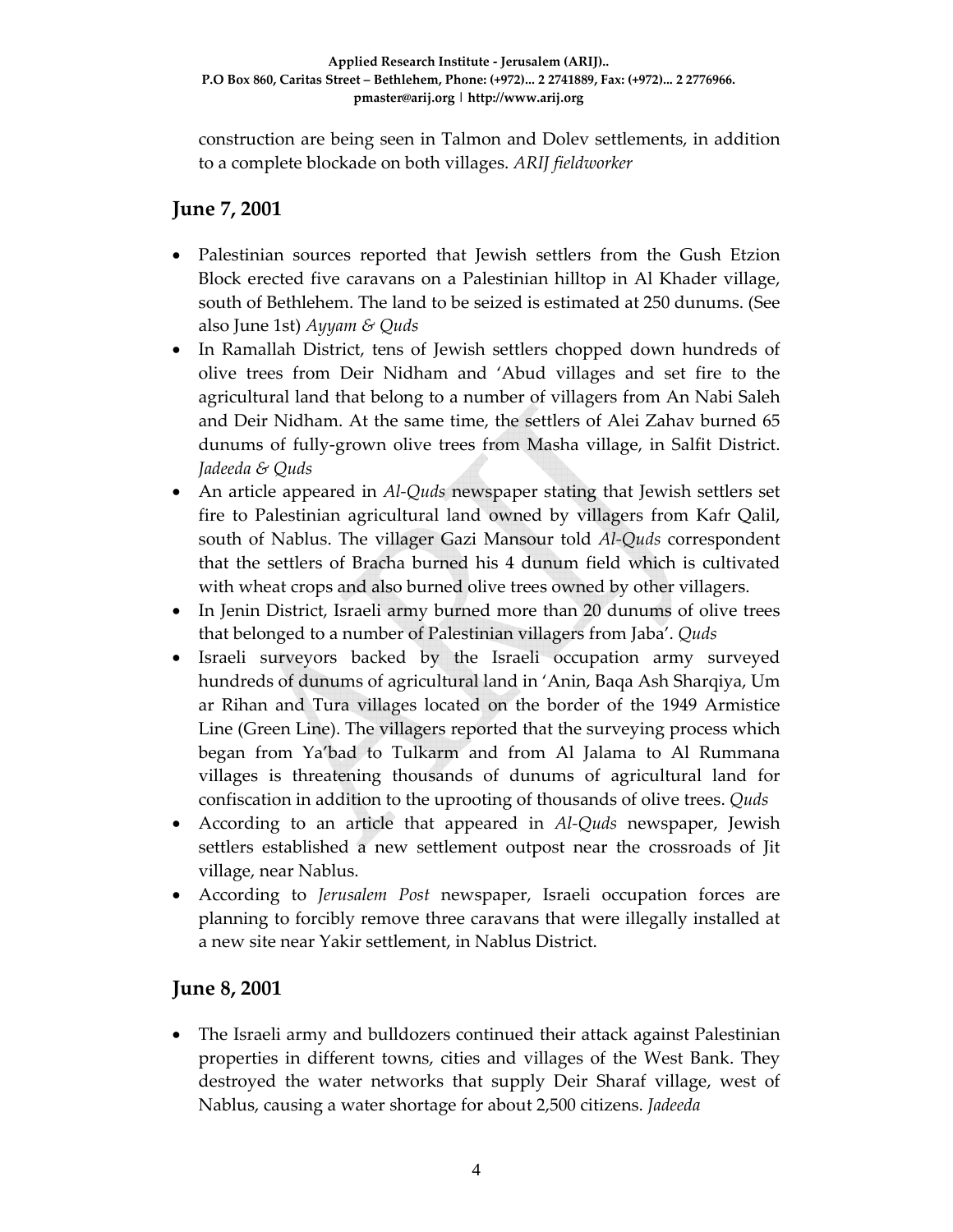construction are being seen in Talmon and Dolev settlements, in addition to a complete blockade on both villages. *ARIJ fieldworker*

# **June 7, 2001**

- Palestinian sources reported that Jewish settlers from the Gush Etzion Block erected five caravans on a Palestinian hilltop in Al Khader village, south of Bethlehem. The land to be seized is estimated at 250 dunums. (See also June 1st) *Ayyam & Quds*
- In Ramallah District, tens of Jewish settlers chopped down hundreds of olive trees from Deir Nidham and 'Abud villages and set fire to the agricultural land that belong to a number of villagers from An Nabi Saleh and Deir Nidham. At the same time, the settlers of Alei Zahav burned 65 dunums of fully‐grown olive trees from Masha village, in Salfit District. *Jadeeda & Quds*
- An article appeared in *Al‐Quds* newspaper stating that Jewish settlers set fire to Palestinian agricultural land owned by villagers from Kafr Qalil, south of Nablus. The villager Gazi Mansour told *Al‐Quds* correspondent that the settlers of Bracha burned his 4 dunum field which is cultivated with wheat crops and also burned olive trees owned by other villagers.
- In Jenin District, Israeli army burned more than 20 dunums of olive trees that belonged to a number of Palestinian villagers from Jaba'. *Quds*
- Israeli surveyors backed by the Israeli occupation army surveyed hundreds of dunums of agricultural land in 'Anin, Baqa Ash Sharqiya, Um ar Rihan and Tura villages located on the border of the 1949 Armistice Line (Green Line). The villagers reported that the surveying process which began from Ya'bad to Tulkarm and from Al Jalama to Al Rummana villages is threatening thousands of dunums of agricultural land for confiscation in addition to the uprooting of thousands of olive trees. *Quds*
- According to an article that appeared in *Al‐Quds* newspaper, Jewish settlers established a new settlement outpost near the crossroads of Jit village, near Nablus.
- According to *Jerusalem Post* newspaper, Israeli occupation forces are planning to forcibly remove three caravans that were illegally installed at a new site near Yakir settlement, in Nablus District.

#### **June 8, 2001**

• The Israeli army and bulldozers continued their attack against Palestinian properties in different towns, cities and villages of the West Bank. They destroyed the water networks that supply Deir Sharaf village, west of Nablus, causing a water shortage for about 2,500 citizens. *Jadeeda*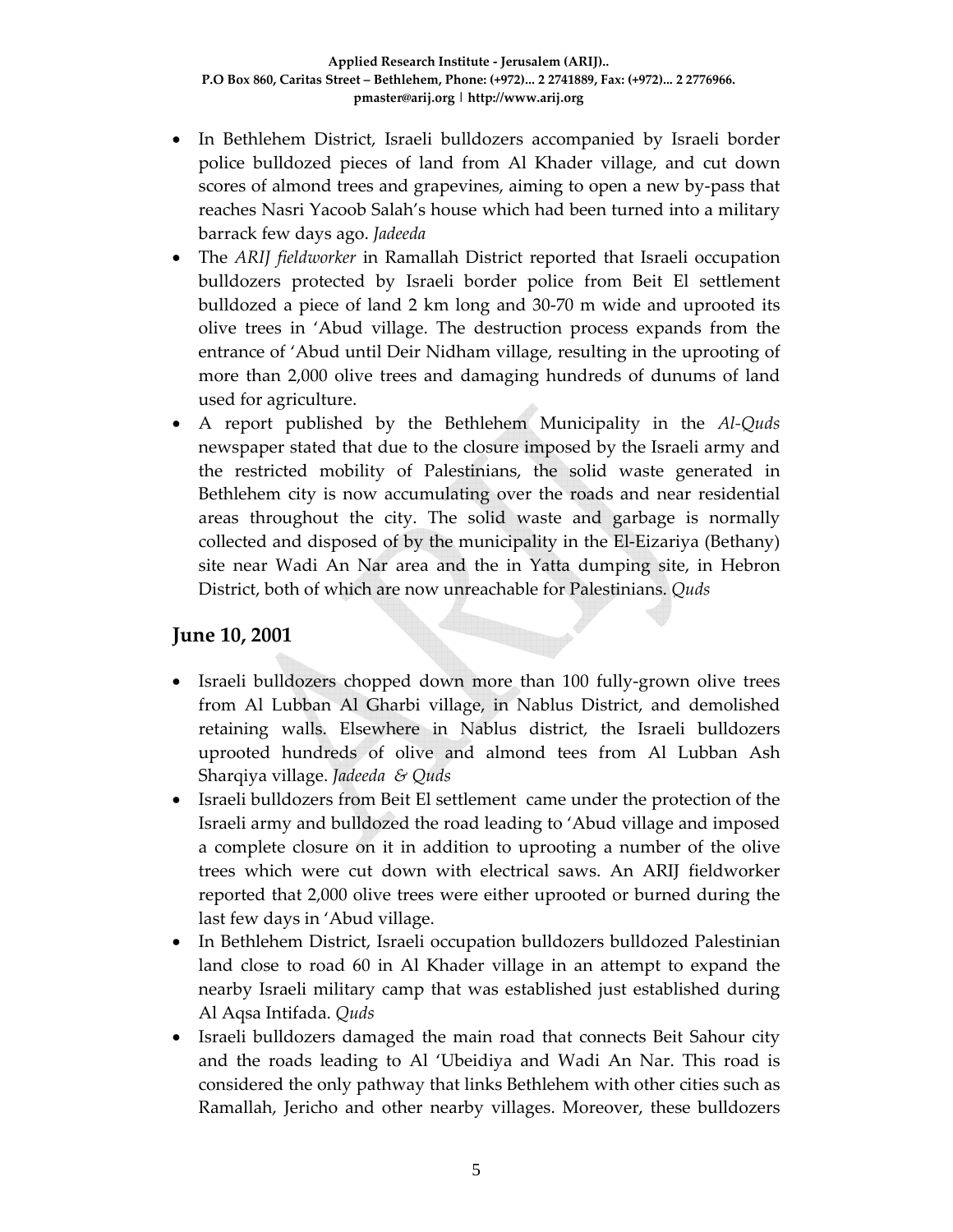- In Bethlehem District, Israeli bulldozers accompanied by Israeli border police bulldozed pieces of land from Al Khader village, and cut down scores of almond trees and grapevines, aiming to open a new by-pass that reaches Nasri Yacoob Salah's house which had been turned into a military barrack few days ago. *Jadeeda*
- The *ARIJ fieldworker* in Ramallah District reported that Israeli occupation bulldozers protected by Israeli border police from Beit El settlement bulldozed a piece of land 2 km long and 30‐70 m wide and uprooted its olive trees in 'Abud village. The destruction process expands from the entrance of 'Abud until Deir Nidham village, resulting in the uprooting of more than 2,000 olive trees and damaging hundreds of dunums of land used for agriculture.
- A report published by the Bethlehem Municipality in the *Al‐Quds* newspaper stated that due to the closure imposed by the Israeli army and the restricted mobility of Palestinians, the solid waste generated in Bethlehem city is now accumulating over the roads and near residential areas throughout the city. The solid waste and garbage is normally collected and disposed of by the municipality in the El‐Eizariya (Bethany) site near Wadi An Nar area and the in Yatta dumping site, in Hebron District, both of which are now unreachable for Palestinians. *Quds*

#### **June 10, 2001**

- Israeli bulldozers chopped down more than 100 fully-grown olive trees from Al Lubban Al Gharbi village, in Nablus District, and demolished retaining walls. Elsewhere in Nablus district, the Israeli bulldozers uprooted hundreds of olive and almond tees from Al Lubban Ash Sharqiya village. *Jadeeda & Quds*
- Israeli bulldozers from Beit El settlement came under the protection of the Israeli army and bulldozed the road leading to 'Abud village and imposed a complete closure on it in addition to uprooting a number of the olive trees which were cut down with electrical saws. An ARIJ fieldworker reported that 2,000 olive trees were either uprooted or burned during the last few days in 'Abud village.
- In Bethlehem District, Israeli occupation bulldozers bulldozed Palestinian land close to road 60 in Al Khader village in an attempt to expand the nearby Israeli military camp that was established just established during Al Aqsa Intifada. *Quds*
- Israeli bulldozers damaged the main road that connects Beit Sahour city and the roads leading to Al 'Ubeidiya and Wadi An Nar. This road is considered the only pathway that links Bethlehem with other cities such as Ramallah, Jericho and other nearby villages. Moreover, these bulldozers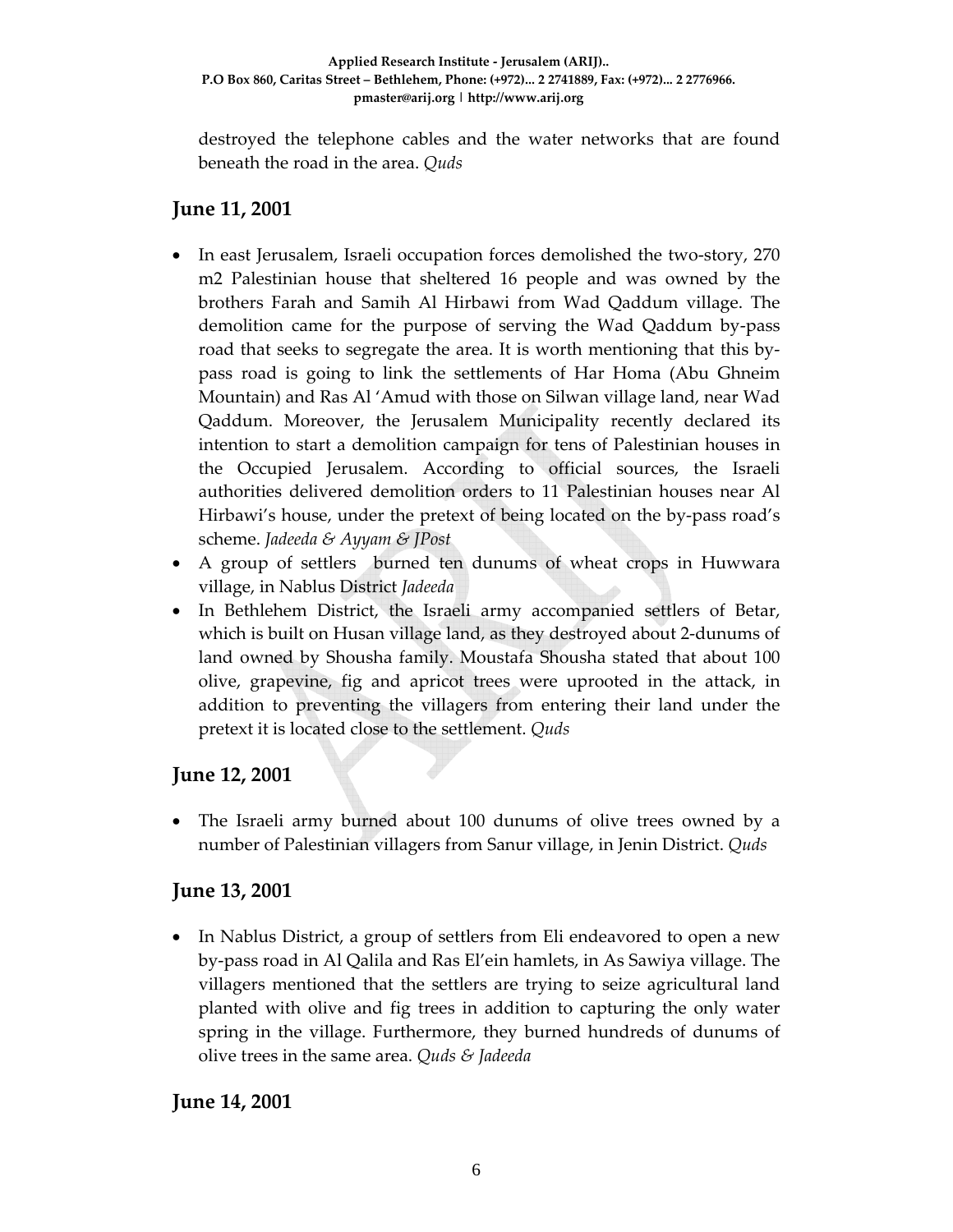destroyed the telephone cables and the water networks that are found beneath the road in the area. *Quds*

### **June 11, 2001**

- In east Jerusalem, Israeli occupation forces demolished the two-story, 270 m2 Palestinian house that sheltered 16 people and was owned by the brothers Farah and Samih Al Hirbawi from Wad Qaddum village. The demolition came for the purpose of serving the Wad Qaddum by‐pass road that seeks to segregate the area. It is worth mentioning that this by‐ pass road is going to link the settlements of Har Homa (Abu Ghneim Mountain) and Ras Al 'Amud with those on Silwan village land, near Wad Qaddum. Moreover, the Jerusalem Municipality recently declared its intention to start a demolition campaign for tens of Palestinian houses in the Occupied Jerusalem. According to official sources, the Israeli authorities delivered demolition orders to 11 Palestinian houses near Al Hirbawi's house, under the pretext of being located on the by-pass road's scheme. *Jadeeda & Ayyam & JPost*
- A group of settlers burned ten dunums of wheat crops in Huwwara village, in Nablus District *Jadeeda*
- In Bethlehem District, the Israeli army accompanied settlers of Betar, which is built on Husan village land, as they destroyed about 2‐dunums of land owned by Shousha family. Moustafa Shousha stated that about 100 olive, grapevine, fig and apricot trees were uprooted in the attack, in addition to preventing the villagers from entering their land under the pretext it is located close to the settlement. *Quds*

### **June 12, 2001**

• The Israeli army burned about 100 dunums of olive trees owned by a number of Palestinian villagers from Sanur village, in Jenin District. *Quds*

### **June 13, 2001**

• In Nablus District, a group of settlers from Eli endeavored to open a new by‐pass road in Al Qalila and Ras El'ein hamlets, in As Sawiya village. The villagers mentioned that the settlers are trying to seize agricultural land planted with olive and fig trees in addition to capturing the only water spring in the village. Furthermore, they burned hundreds of dunums of olive trees in the same area. *Quds & Jadeeda*

### **June 14, 2001**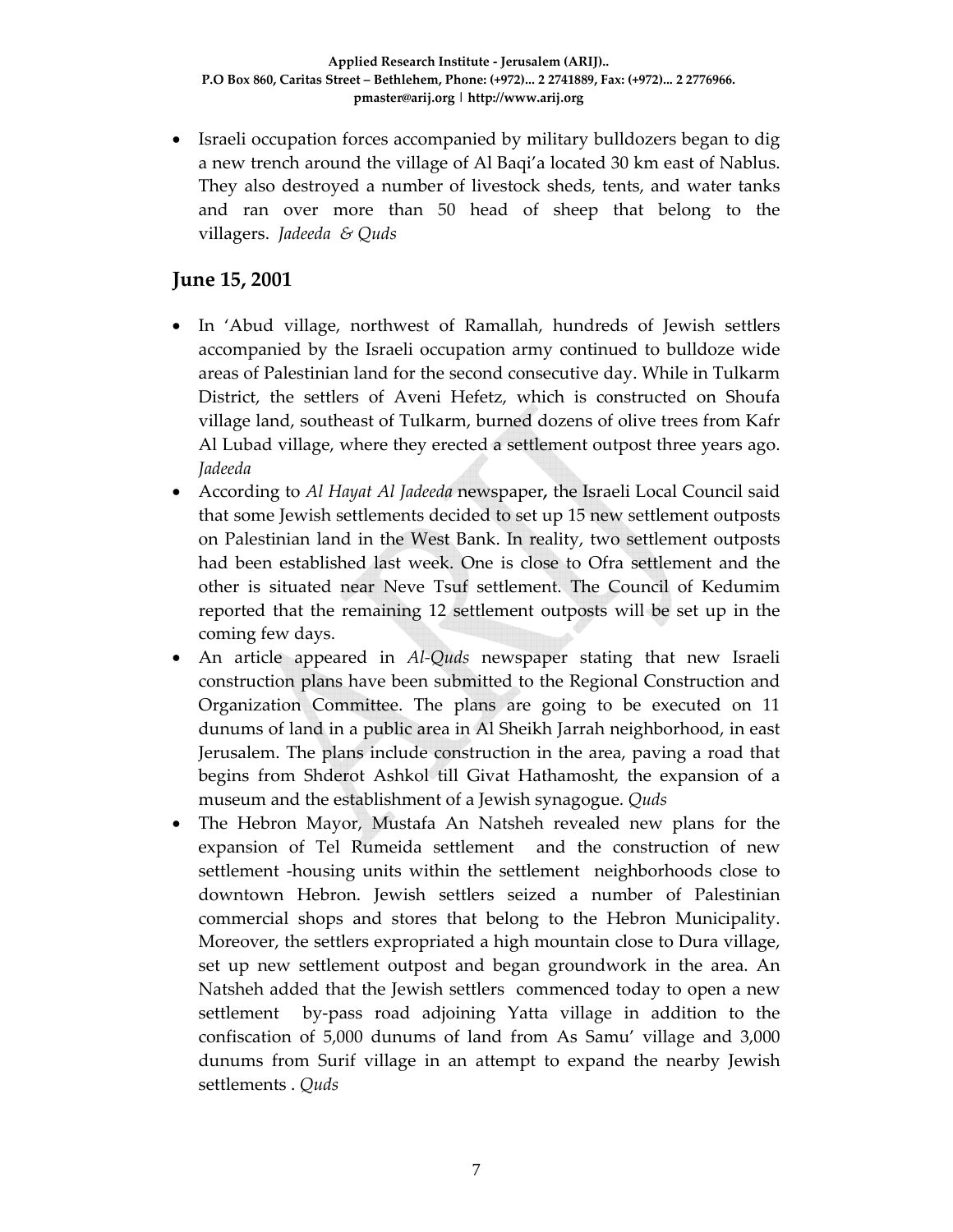• Israeli occupation forces accompanied by military bulldozers began to dig a new trench around the village of Al Baqi'a located 30 km east of Nablus. They also destroyed a number of livestock sheds, tents, and water tanks and ran over more than 50 head of sheep that belong to the villagers. *Jadeeda & Quds*

### **June 15, 2001**

- In 'Abud village, northwest of Ramallah, hundreds of Jewish settlers accompanied by the Israeli occupation army continued to bulldoze wide areas of Palestinian land for the second consecutive day. While in Tulkarm District, the settlers of Aveni Hefetz, which is constructed on Shoufa village land, southeast of Tulkarm, burned dozens of olive trees from Kafr Al Lubad village, where they erected a settlement outpost three years ago. *Jadeeda*
- According to *Al Hayat Al Jadeeda* newspaper*,* the Israeli Local Council said that some Jewish settlements decided to set up 15 new settlement outposts on Palestinian land in the West Bank. In reality, two settlement outposts had been established last week. One is close to Ofra settlement and the other is situated near Neve Tsuf settlement. The Council of Kedumim reported that the remaining 12 settlement outposts will be set up in the coming few days.
- An article appeared in *Al‐Quds* newspaper stating that new Israeli construction plans have been submitted to the Regional Construction and Organization Committee. The plans are going to be executed on 11 dunums of land in a public area in Al Sheikh Jarrah neighborhood, in east Jerusalem. The plans include construction in the area, paving a road that begins from Shderot Ashkol till Givat Hathamosht, the expansion of a museum and the establishment of a Jewish synagogue. *Quds*
- The Hebron Mayor, Mustafa An Natsheh revealed new plans for the expansion of Tel Rumeida settlement and the construction of new settlement -housing units within the settlement neighborhoods close to downtown Hebron. Jewish settlers seized a number of Palestinian commercial shops and stores that belong to the Hebron Municipality. Moreover, the settlers expropriated a high mountain close to Dura village, set up new settlement outpost and began groundwork in the area. An Natsheh added that the Jewish settlers commenced today to open a new settlement by-pass road adjoining Yatta village in addition to the confiscation of 5,000 dunums of land from As Samu' village and 3,000 dunums from Surif village in an attempt to expand the nearby Jewish settlements . *Quds*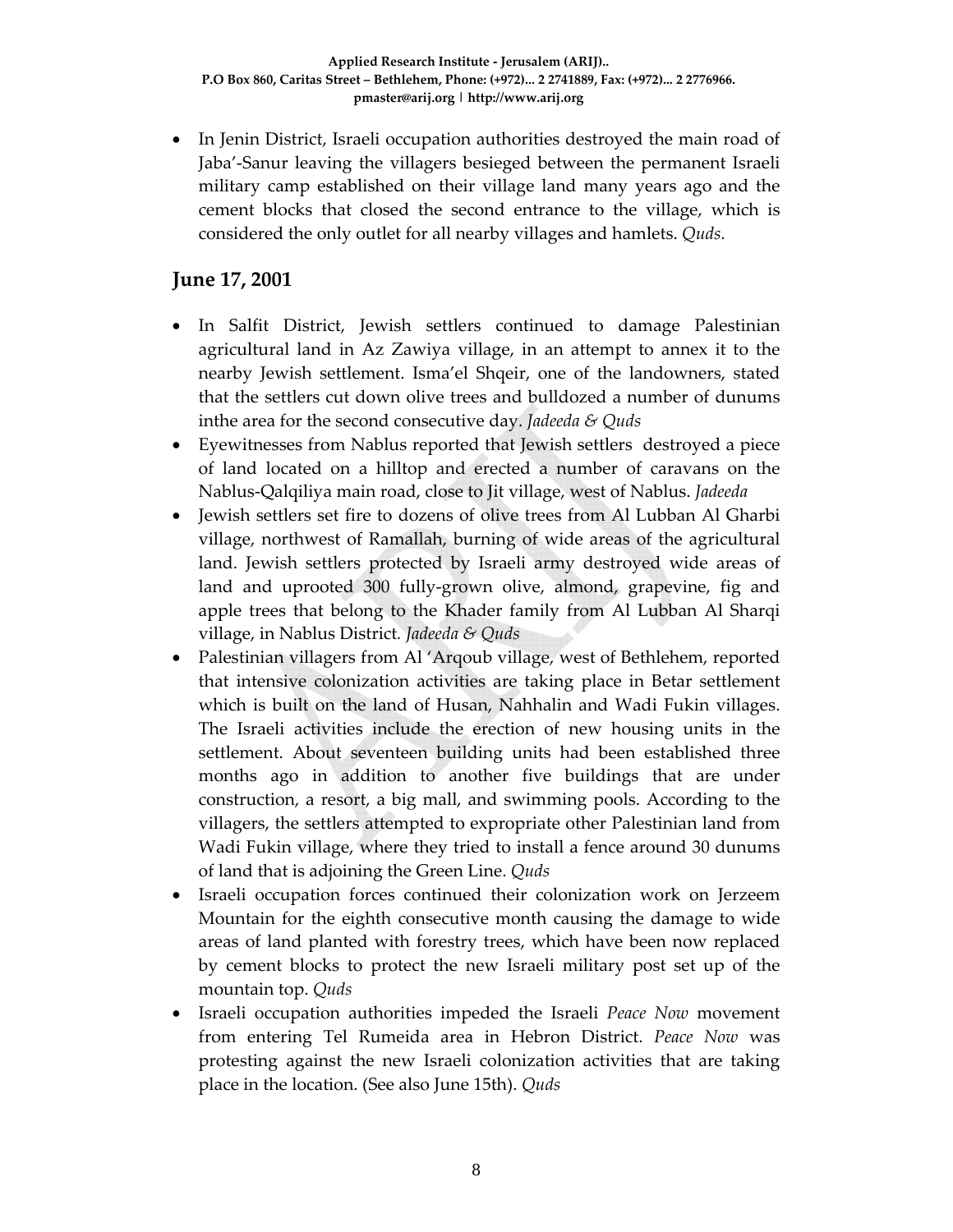• In Jenin District, Israeli occupation authorities destroyed the main road of Jaba'‐Sanur leaving the villagers besieged between the permanent Israeli military camp established on their village land many years ago and the cement blocks that closed the second entrance to the village, which is considered the only outlet for all nearby villages and hamlets. *Quds.*

# **June 17, 2001**

- In Salfit District, Jewish settlers continued to damage Palestinian agricultural land in Az Zawiya village, in an attempt to annex it to the nearby Jewish settlement. Isma'el Shqeir, one of the landowners, stated that the settlers cut down olive trees and bulldozed a number of dunums inthe area for the second consecutive day. *Jadeeda & Quds*
- Eyewitnesses from Nablus reported that Jewish settlers destroyed a piece of land located on a hilltop and erected a number of caravans on the Nablus‐Qalqiliya main road, close to Jit village, west of Nablus. *Jadeeda*
- Jewish settlers set fire to dozens of olive trees from Al Lubban Al Gharbi village, northwest of Ramallah, burning of wide areas of the agricultural land. Jewish settlers protected by Israeli army destroyed wide areas of land and uprooted 300 fully‐grown olive, almond, grapevine, fig and apple trees that belong to the Khader family from Al Lubban Al Sharqi village, in Nablus District*. Jadeeda & Quds*
- Palestinian villagers from Al 'Arqoub village, west of Bethlehem, reported that intensive colonization activities are taking place in Betar settlement which is built on the land of Husan, Nahhalin and Wadi Fukin villages. The Israeli activities include the erection of new housing units in the settlement. About seventeen building units had been established three months ago in addition to another five buildings that are under construction, a resort, a big mall, and swimming pools. According to the villagers, the settlers attempted to expropriate other Palestinian land from Wadi Fukin village, where they tried to install a fence around 30 dunums of land that is adjoining the Green Line. *Quds*
- Israeli occupation forces continued their colonization work on Jerzeem Mountain for the eighth consecutive month causing the damage to wide areas of land planted with forestry trees, which have been now replaced by cement blocks to protect the new Israeli military post set up of the mountain top. *Quds*
- Israeli occupation authorities impeded the Israeli *Peace Now* movement from entering Tel Rumeida area in Hebron District. *Peace Now* was protesting against the new Israeli colonization activities that are taking place in the location. (See also June 15th). *Quds*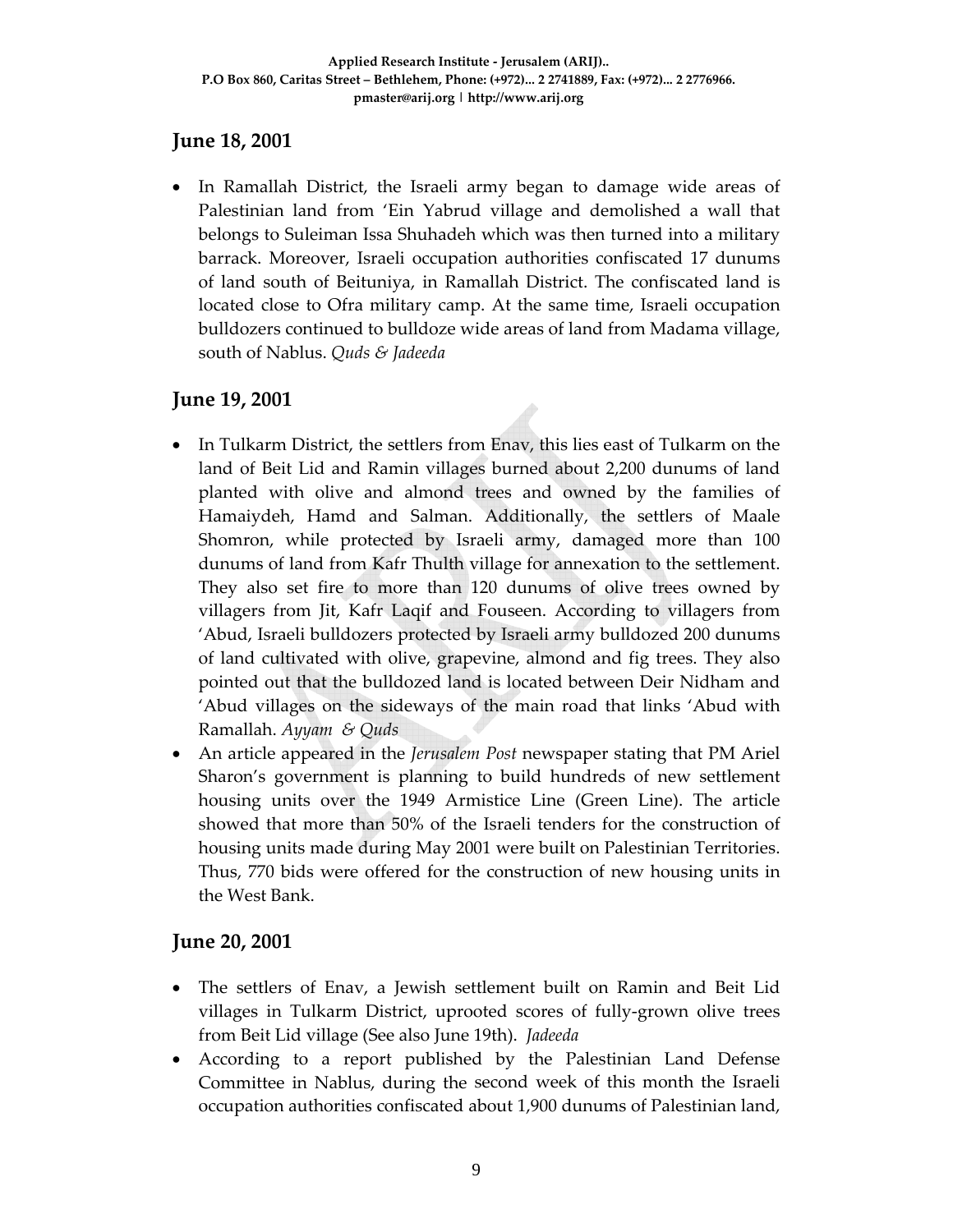#### **June 18, 2001**

• In Ramallah District, the Israeli army began to damage wide areas of Palestinian land from 'Ein Yabrud village and demolished a wall that belongs to Suleiman Issa Shuhadeh which was then turned into a military barrack. Moreover, Israeli occupation authorities confiscated 17 dunums of land south of Beituniya, in Ramallah District. The confiscated land is located close to Ofra military camp. At the same time, Israeli occupation bulldozers continued to bulldoze wide areas of land from Madama village, south of Nablus. *Quds & Jadeeda*

#### **June 19, 2001**

- In Tulkarm District, the settlers from Enav, this lies east of Tulkarm on the land of Beit Lid and Ramin villages burned about 2,200 dunums of land planted with olive and almond trees and owned by the families of Hamaiydeh, Hamd and Salman. Additionally, the settlers of Maale Shomron, while protected by Israeli army, damaged more than 100 dunums of land from Kafr Thulth village for annexation to the settlement. They also set fire to more than 120 dunums of olive trees owned by villagers from Jit, Kafr Laqif and Fouseen. According to villagers from 'Abud, Israeli bulldozers protected by Israeli army bulldozed 200 dunums of land cultivated with olive, grapevine, almond and fig trees. They also pointed out that the bulldozed land is located between Deir Nidham and 'Abud villages on the sideways of the main road that links 'Abud with Ramallah. *Ayyam & Quds*
- An article appeared in the *Jerusalem Post* newspaper stating that PM Ariel Sharon's government is planning to build hundreds of new settlement housing units over the 1949 Armistice Line (Green Line). The article showed that more than 50% of the Israeli tenders for the construction of housing units made during May 2001 were built on Palestinian Territories. Thus, 770 bids were offered for the construction of new housing units in the West Bank.

#### **June 20, 2001**

- The settlers of Enav, a Jewish settlement built on Ramin and Beit Lid villages in Tulkarm District, uprooted scores of fully‐grown olive trees from Beit Lid village (See also June 19th). *Jadeeda*
- According to a report published by the Palestinian Land Defense Committee in Nablus, during the second week of this month the Israeli occupation authorities confiscated about 1,900 dunums of Palestinian land,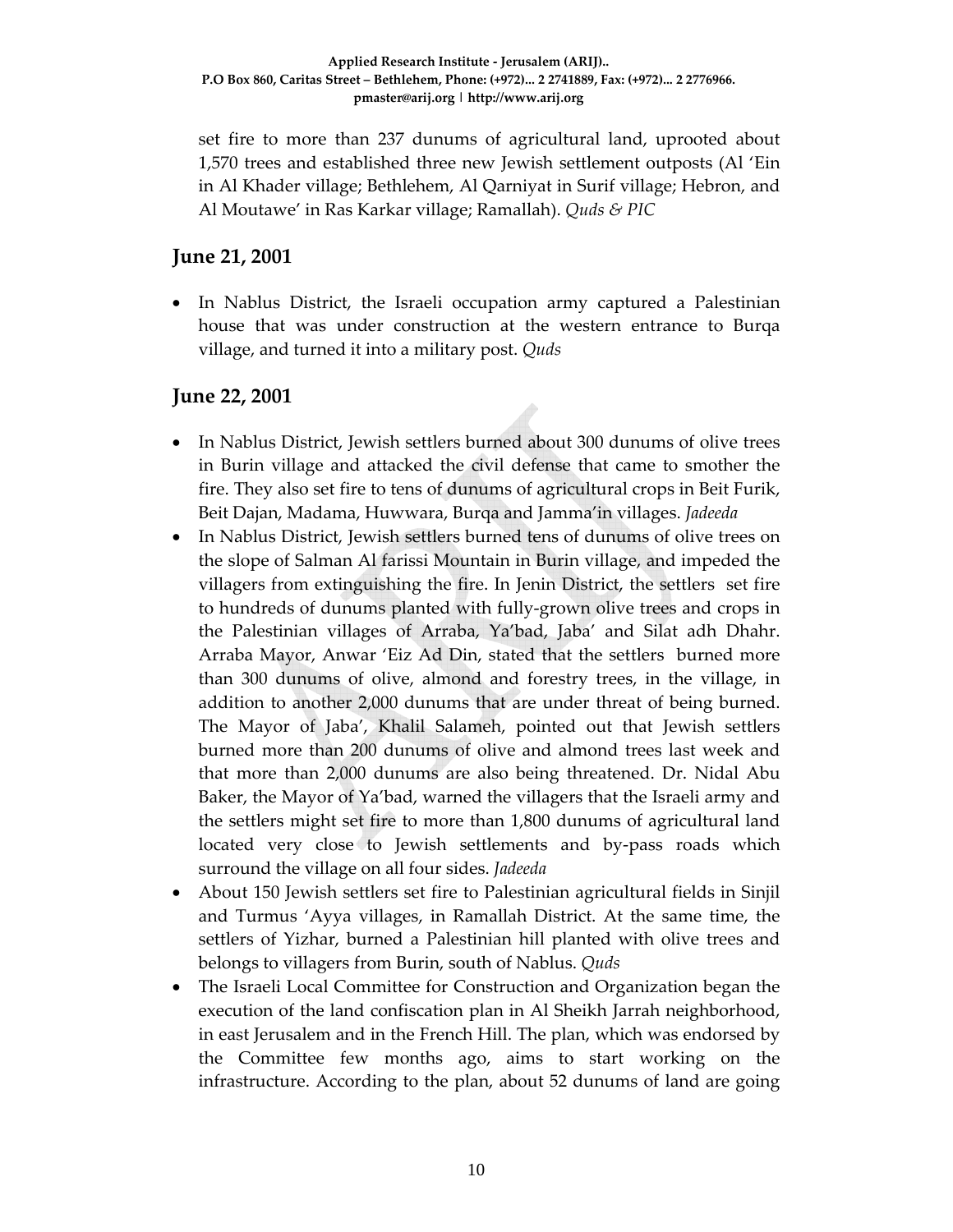set fire to more than 237 dunums of agricultural land, uprooted about 1,570 trees and established three new Jewish settlement outposts (Al 'Ein in Al Khader village; Bethlehem, Al Qarniyat in Surif village; Hebron, and Al Moutawe' in Ras Karkar village; Ramallah). *Quds & PIC*

### **June 21, 2001**

• In Nablus District, the Israeli occupation army captured a Palestinian house that was under construction at the western entrance to Burqa village, and turned it into a military post. *Quds*

### **June 22, 2001**

- In Nablus District, Jewish settlers burned about 300 dunums of olive trees in Burin village and attacked the civil defense that came to smother the fire. They also set fire to tens of dunums of agricultural crops in Beit Furik, Beit Dajan, Madama, Huwwara, Burqa and Jamma'in villages. *Jadeeda*
- In Nablus District, Jewish settlers burned tens of dunums of olive trees on the slope of Salman Al farissi Mountain in Burin village, and impeded the villagers from extinguishing the fire. In Jenin District, the settlers set fire to hundreds of dunums planted with fully‐grown olive trees and crops in the Palestinian villages of Arraba, Ya'bad, Jaba' and Silat adh Dhahr. Arraba Mayor, Anwar 'Eiz Ad Din, stated that the settlers burned more than 300 dunums of olive, almond and forestry trees, in the village, in addition to another 2,000 dunums that are under threat of being burned. The Mayor of Jaba', Khalil Salameh, pointed out that Jewish settlers burned more than 200 dunums of olive and almond trees last week and that more than 2,000 dunums are also being threatened. Dr. Nidal Abu Baker, the Mayor of Ya'bad, warned the villagers that the Israeli army and the settlers might set fire to more than 1,800 dunums of agricultural land located very close to Jewish settlements and by‐pass roads which surround the village on all four sides. *Jadeeda*
- About 150 Jewish settlers set fire to Palestinian agricultural fields in Sinjil and Turmus 'Ayya villages, in Ramallah District. At the same time, the settlers of Yizhar, burned a Palestinian hill planted with olive trees and belongs to villagers from Burin, south of Nablus. *Quds*
- The Israeli Local Committee for Construction and Organization began the execution of the land confiscation plan in Al Sheikh Jarrah neighborhood, in east Jerusalem and in the French Hill. The plan, which was endorsed by the Committee few months ago, aims to start working on the infrastructure. According to the plan, about 52 dunums of land are going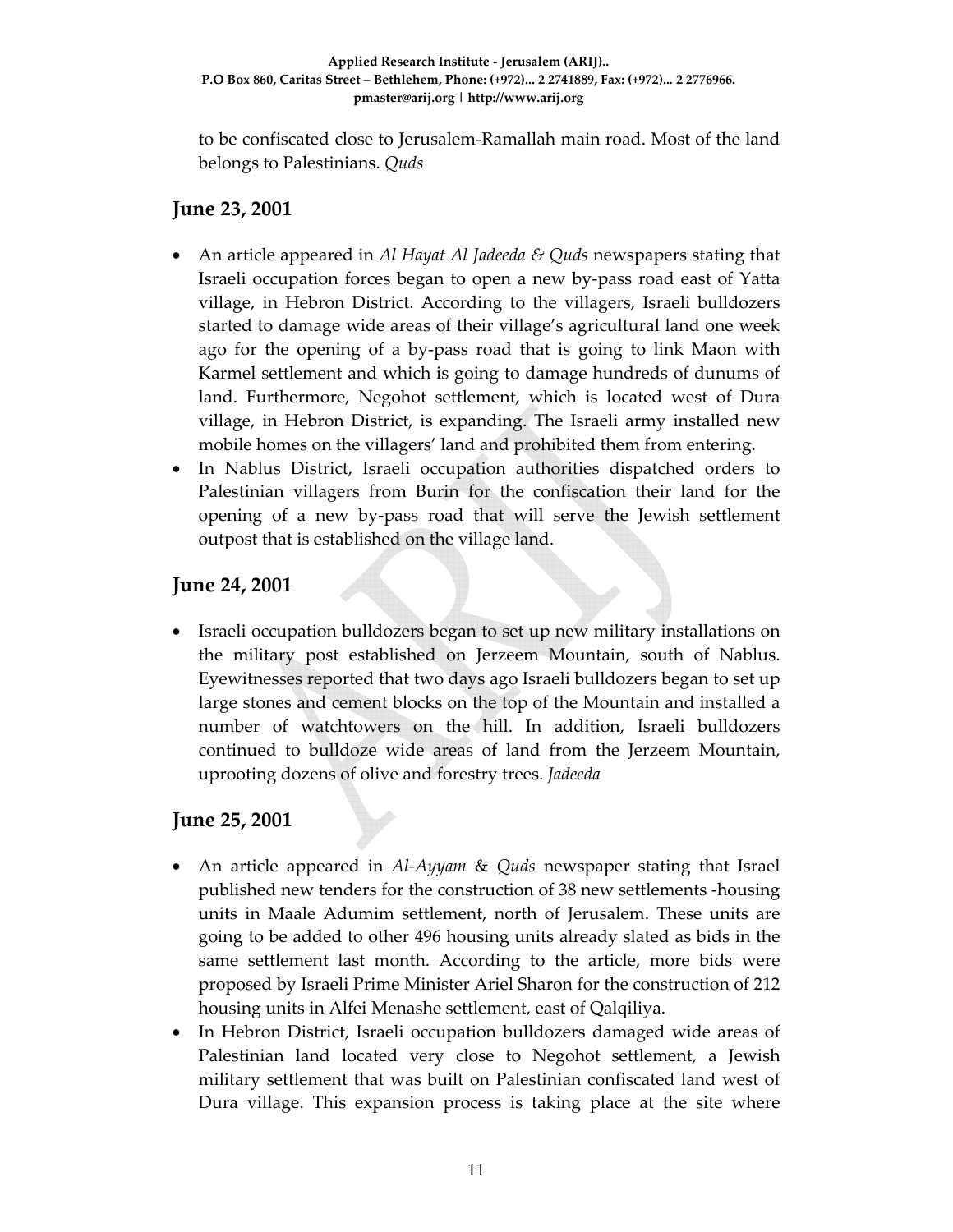to be confiscated close to Jerusalem‐Ramallah main road. Most of the land belongs to Palestinians. *Quds*

#### **June 23, 2001**

- An article appeared in *Al Hayat Al Jadeeda & Quds* newspapers stating that Israeli occupation forces began to open a new by‐pass road east of Yatta village, in Hebron District. According to the villagers, Israeli bulldozers started to damage wide areas of their village's agricultural land one week ago for the opening of a by‐pass road that is going to link Maon with Karmel settlement and which is going to damage hundreds of dunums of land. Furthermore, Negohot settlement, which is located west of Dura village, in Hebron District, is expanding. The Israeli army installed new mobile homes on the villagers' land and prohibited them from entering.
- In Nablus District, Israeli occupation authorities dispatched orders to Palestinian villagers from Burin for the confiscation their land for the opening of a new by‐pass road that will serve the Jewish settlement outpost that is established on the village land.

### **June 24, 2001**

• Israeli occupation bulldozers began to set up new military installations on the military post established on Jerzeem Mountain, south of Nablus. Eyewitnesses reported that two days ago Israeli bulldozers began to set up large stones and cement blocks on the top of the Mountain and installed a number of watchtowers on the hill. In addition, Israeli bulldozers continued to bulldoze wide areas of land from the Jerzeem Mountain, uprooting dozens of olive and forestry trees. *Jadeeda*

### **June 25, 2001**

- An article appeared in *Al‐Ayyam* & *Quds* newspaper stating that Israel published new tenders for the construction of 38 new settlements ‐housing units in Maale Adumim settlement, north of Jerusalem. These units are going to be added to other 496 housing units already slated as bids in the same settlement last month. According to the article, more bids were proposed by Israeli Prime Minister Ariel Sharon for the construction of 212 housing units in Alfei Menashe settlement, east of Qalqiliya.
- In Hebron District, Israeli occupation bulldozers damaged wide areas of Palestinian land located very close to Negohot settlement, a Jewish military settlement that was built on Palestinian confiscated land west of Dura village. This expansion process is taking place at the site where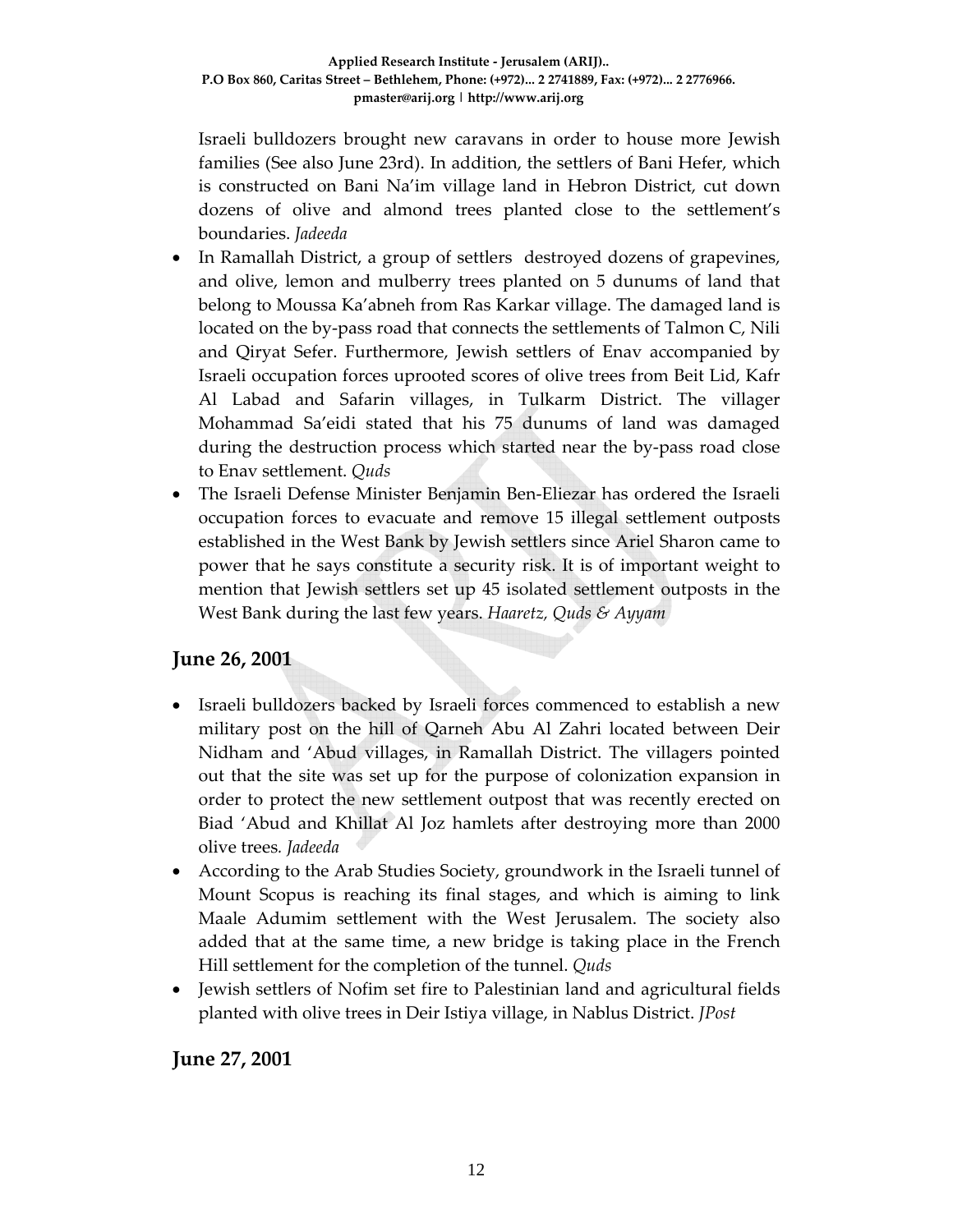Israeli bulldozers brought new caravans in order to house more Jewish families (See also June 23rd). In addition, the settlers of Bani Hefer, which is constructed on Bani Na'im village land in Hebron District, cut down dozens of olive and almond trees planted close to the settlement's boundaries. *Jadeeda*

- In Ramallah District, a group of settlers destroyed dozens of grapevines, and olive, lemon and mulberry trees planted on 5 dunums of land that belong to Moussa Ka'abneh from Ras Karkar village. The damaged land is located on the by-pass road that connects the settlements of Talmon C, Nili and Qiryat Sefer. Furthermore, Jewish settlers of Enav accompanied by Israeli occupation forces uprooted scores of olive trees from Beit Lid, Kafr Al Labad and Safarin villages, in Tulkarm District. The villager Mohammad Sa'eidi stated that his 75 dunums of land was damaged during the destruction process which started near the by‐pass road close to Enav settlement. *Quds*
- The Israeli Defense Minister Benjamin Ben-Eliezar has ordered the Israeli occupation forces to evacuate and remove 15 illegal settlement outposts established in the West Bank by Jewish settlers since Ariel Sharon came to power that he says constitute a security risk. It is of important weight to mention that Jewish settlers set up 45 isolated settlement outposts in the West Bank during the last few years. *Haaretz, Quds & Ayyam*

### **June 26, 2001**

- Israeli bulldozers backed by Israeli forces commenced to establish a new military post on the hill of Qarneh Abu Al Zahri located between Deir Nidham and 'Abud villages, in Ramallah District. The villagers pointed out that the site was set up for the purpose of colonization expansion in order to protect the new settlement outpost that was recently erected on Biad 'Abud and Khillat Al Joz hamlets after destroying more than 2000 olive trees*. Jadeeda*
- According to the Arab Studies Society, groundwork in the Israeli tunnel of Mount Scopus is reaching its final stages, and which is aiming to link Maale Adumim settlement with the West Jerusalem. The society also added that at the same time, a new bridge is taking place in the French Hill settlement for the completion of the tunnel. *Quds*
- Jewish settlers of Nofim set fire to Palestinian land and agricultural fields planted with olive trees in Deir Istiya village, in Nablus District. *JPost*

#### **June 27, 2001**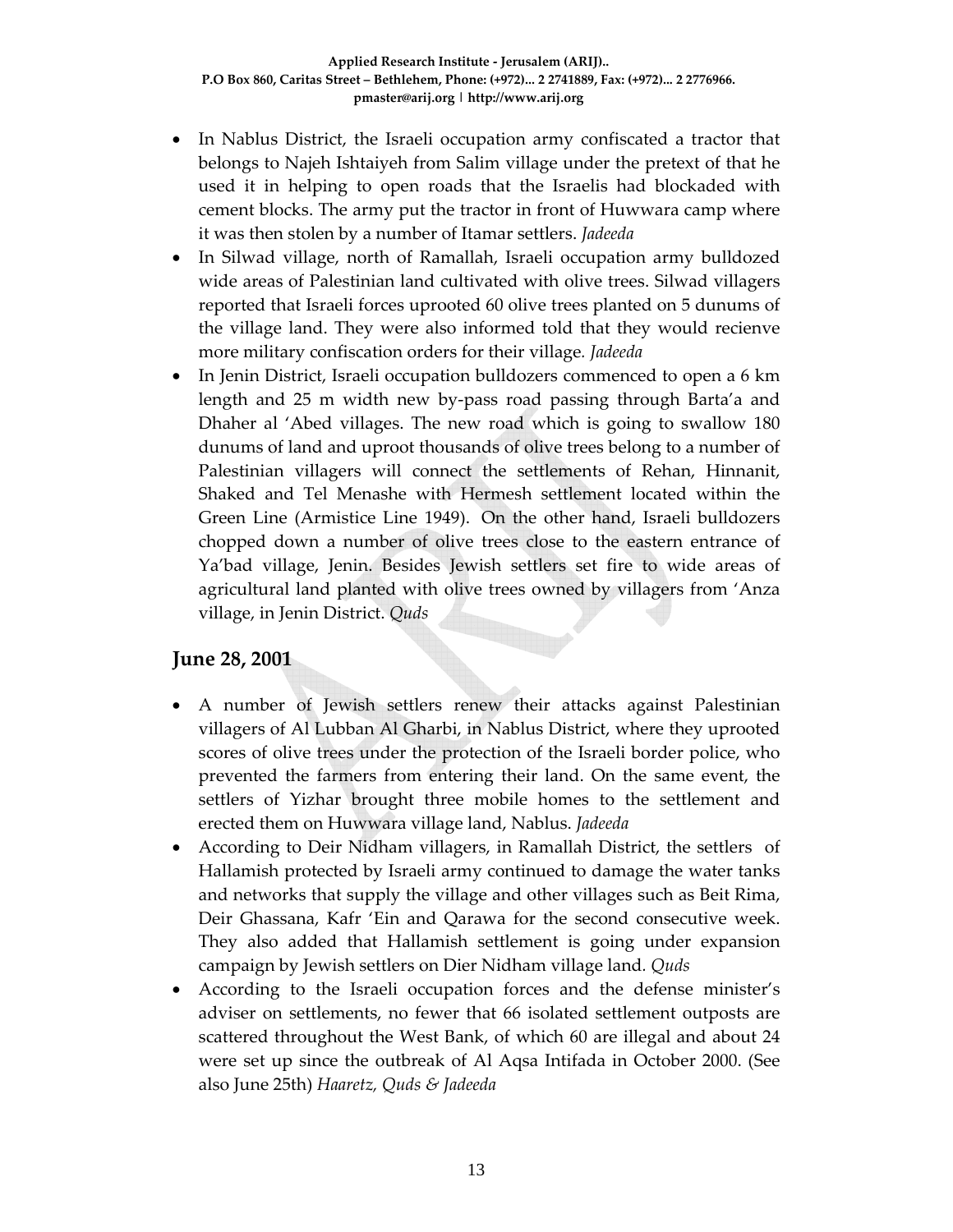- In Nablus District, the Israeli occupation army confiscated a tractor that belongs to Najeh Ishtaiyeh from Salim village under the pretext of that he used it in helping to open roads that the Israelis had blockaded with cement blocks. The army put the tractor in front of Huwwara camp where it was then stolen by a number of Itamar settlers. *Jadeeda*
- In Silwad village, north of Ramallah, Israeli occupation army bulldozed wide areas of Palestinian land cultivated with olive trees. Silwad villagers reported that Israeli forces uprooted 60 olive trees planted on 5 dunums of the village land. They were also informed told that they would recienve more military confiscation orders for their village*. Jadeeda*
- In Jenin District, Israeli occupation bulldozers commenced to open a 6 km length and 25 m width new by‐pass road passing through Barta'a and Dhaher al 'Abed villages. The new road which is going to swallow 180 dunums of land and uproot thousands of olive trees belong to a number of Palestinian villagers will connect the settlements of Rehan, Hinnanit, Shaked and Tel Menashe with Hermesh settlement located within the Green Line (Armistice Line 1949). On the other hand, Israeli bulldozers chopped down a number of olive trees close to the eastern entrance of Ya'bad village, Jenin. Besides Jewish settlers set fire to wide areas of agricultural land planted with olive trees owned by villagers from 'Anza village, in Jenin District. *Quds*

#### **June 28, 2001**

- A number of Jewish settlers renew their attacks against Palestinian villagers of Al Lubban Al Gharbi, in Nablus District, where they uprooted scores of olive trees under the protection of the Israeli border police, who prevented the farmers from entering their land. On the same event, the settlers of Yizhar brought three mobile homes to the settlement and erected them on Huwwara village land, Nablus. *Jadeeda*
- According to Deir Nidham villagers, in Ramallah District, the settlers of Hallamish protected by Israeli army continued to damage the water tanks and networks that supply the village and other villages such as Beit Rima, Deir Ghassana, Kafr 'Ein and Qarawa for the second consecutive week. They also added that Hallamish settlement is going under expansion campaign by Jewish settlers on Dier Nidham village land*. Quds*
- According to the Israeli occupation forces and the defense minister's adviser on settlements, no fewer that 66 isolated settlement outposts are scattered throughout the West Bank, of which 60 are illegal and about 24 were set up since the outbreak of Al Aqsa Intifada in October 2000. (See also June 25th) *Haaretz, Quds & Jadeeda*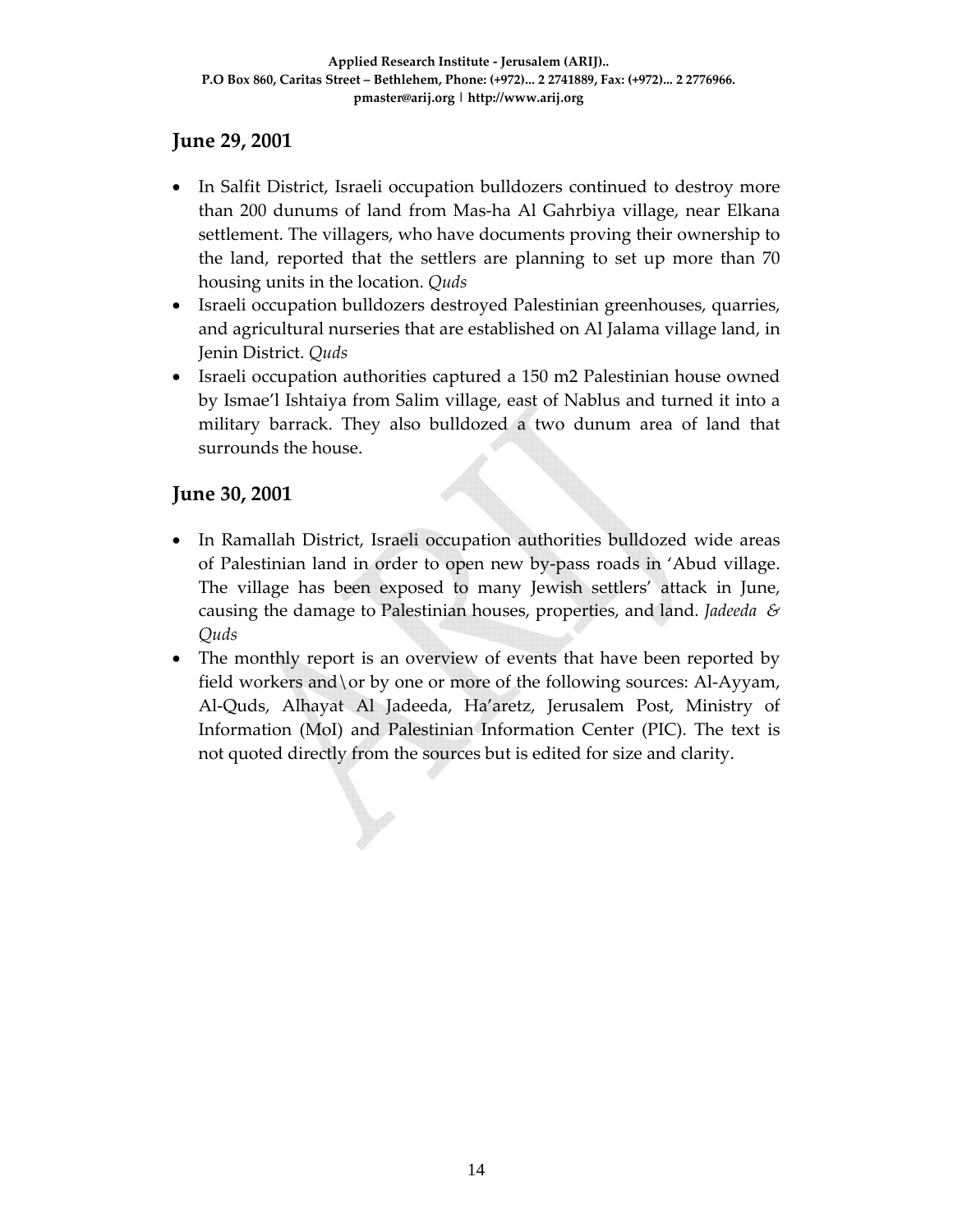### **June 29, 2001**

- In Salfit District, Israeli occupation bulldozers continued to destroy more than 200 dunums of land from Mas‐ha Al Gahrbiya village, near Elkana settlement. The villagers, who have documents proving their ownership to the land, reported that the settlers are planning to set up more than 70 housing units in the location. *Quds*
- Israeli occupation bulldozers destroyed Palestinian greenhouses, quarries, and agricultural nurseries that are established on Al Jalama village land, in Jenin District. *Quds*
- Israeli occupation authorities captured a 150 m2 Palestinian house owned by Ismae'l Ishtaiya from Salim village, east of Nablus and turned it into a military barrack. They also bulldozed a two dunum area of land that surrounds the house.

### **June 30, 2001**

- In Ramallah District, Israeli occupation authorities bulldozed wide areas of Palestinian land in order to open new by‐pass roads in 'Abud village. The village has been exposed to many Jewish settlers' attack in June, causing the damage to Palestinian houses, properties, and land. *Jadeeda & Quds*
- The monthly report is an overview of events that have been reported by field workers and \or by one or more of the following sources: Al-Ayyam, Al‐Quds, Alhayat Al Jadeeda, Ha'aretz, Jerusalem Post, Ministry of Information (MoI) and Palestinian Information Center (PIC). The text is not quoted directly from the sources but is edited for size and clarity.